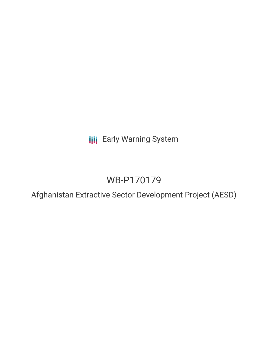**III** Early Warning System

# WB-P170179

Afghanistan Extractive Sector Development Project (AESD)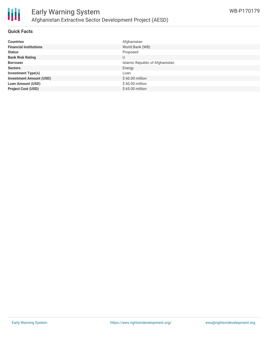

#### **Quick Facts**

| <b>Countries</b>               | Afghanistan                     |
|--------------------------------|---------------------------------|
| <b>Financial Institutions</b>  | World Bank (WB)                 |
| <b>Status</b>                  | Proposed                        |
| <b>Bank Risk Rating</b>        | U                               |
| <b>Borrower</b>                | Islamic Republic of Afghanistan |
| <b>Sectors</b>                 | Energy                          |
| <b>Investment Type(s)</b>      | Loan                            |
| <b>Investment Amount (USD)</b> | $$60.00$ million                |
| <b>Loan Amount (USD)</b>       | \$60.00 million                 |
| <b>Project Cost (USD)</b>      | \$65.00 million                 |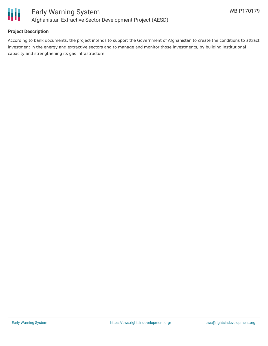

## **Project Description**

According to bank documents, the project intends to support the Government of Afghanistan to create the conditions to attract investment in the energy and extractive sectors and to manage and monitor those investments, by building institutional capacity and strengthening its gas infrastructure.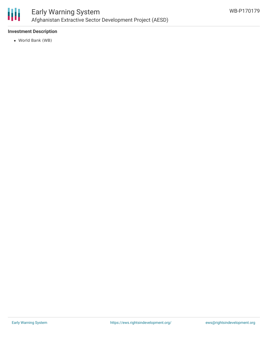

## **Investment Description**

World Bank (WB)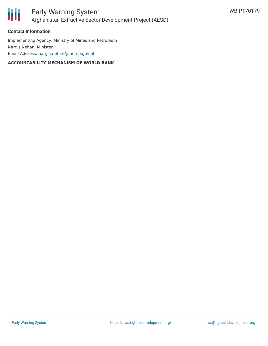



#### **Contact Information**

Implementing Agency: Ministry of Mines and Petroleum Nargis Nehan, Minister Email Address: [nargis.nehan@momp.gov.af](mailto:nargis.nehan@momp.gov.af)

#### **ACCOUNTABILITY MECHANISM OF WORLD BANK**